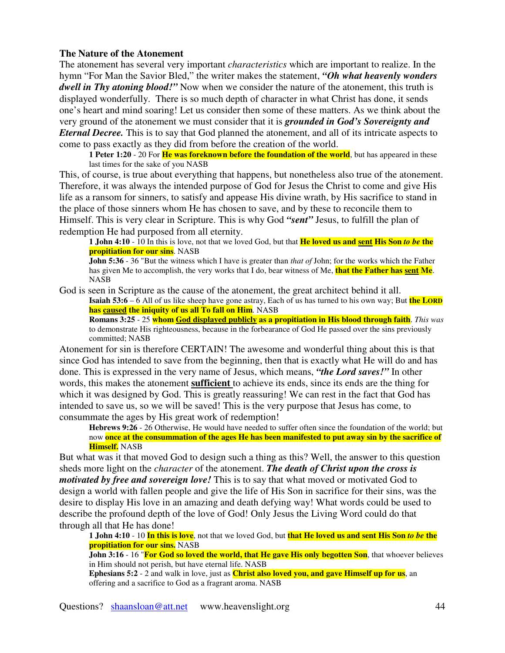## **The Nature of the Atonement**

The atonement has several very important *characteristics* which are important to realize. In the hymn "For Man the Savior Bled," the writer makes the statement, *"Oh what heavenly wonders dwell in Thy atoning blood!"* Now when we consider the nature of the atonement, this truth is displayed wonderfully. There is so much depth of character in what Christ has done, it sends one's heart and mind soaring! Let us consider then some of these matters. As we think about the very ground of the atonement we must consider that it is *grounded in God's Sovereignty and Eternal Decree.* This is to say that God planned the atonement, and all of its intricate aspects to come to pass exactly as they did from before the creation of the world.

**1 Peter 1:20** - 20 For **He was foreknown before the foundation of the world**, but has appeared in these last times for the sake of you NASB

This, of course, is true about everything that happens, but nonetheless also true of the atonement. Therefore, it was always the intended purpose of God for Jesus the Christ to come and give His life as a ransom for sinners, to satisfy and appease His divine wrath, by His sacrifice to stand in the place of those sinners whom He has chosen to save, and by these to reconcile them to Himself. This is very clear in Scripture. This is why God *"sent"* Jesus, to fulfill the plan of redemption He had purposed from all eternity.

**1 John 4:10** - 10 In this is love, not that we loved God, but that **He loved us and sent His Son** *to be* **the propitiation for our sins**. NASB

**John 5:36** - 36 "But the witness which I have is greater than *that of* John; for the works which the Father has given Me to accomplish, the very works that I do, bear witness of Me, **that the Father has sent Me**. NASB

God is seen in Scripture as the cause of the atonement, the great architect behind it all.

**Isaiah 53:6** – 6 All of us like sheep have gone astray, Each of us has turned to his own way; But **the LORD has caused the iniquity of us all To fall on Him**. NASB

**Romans 3:25** - 25 **whom God displayed publicly as a propitiation in His blood through faith**. *This was* to demonstrate His righteousness, because in the forbearance of God He passed over the sins previously committed; NASB

Atonement for sin is therefore CERTAIN! The awesome and wonderful thing about this is that since God has intended to save from the beginning, then that is exactly what He will do and has done. This is expressed in the very name of Jesus, which means, *"the Lord saves!"* In other words, this makes the atonement **sufficient** to achieve its ends, since its ends are the thing for which it was designed by God. This is greatly reassuring! We can rest in the fact that God has intended to save us, so we will be saved! This is the very purpose that Jesus has come, to consummate the ages by His great work of redemption!

**Hebrews 9:26** - 26 Otherwise, He would have needed to suffer often since the foundation of the world; but now once at the consummation of the ages He has been manifested to put away sin by the sacrifice of **Himself.** NASB

But what was it that moved God to design such a thing as this? Well, the answer to this question sheds more light on the *character* of the atonement. *The death of Christ upon the cross is motivated by free and sovereign love!* This is to say that what moved or motivated God to design a world with fallen people and give the life of His Son in sacrifice for their sins, was the desire to display His love in an amazing and death defying way! What words could be used to describe the profound depth of the love of God! Only Jesus the Living Word could do that through all that He has done!

1 John 4:10 - 10 In this is love, not that we loved God, but that He loved us and sent His Son to be the **propitiation for our sins.** NASB

**John 3:16** - 16 "**For God so loved the world, that He gave His only begotten Son**, that whoever believes in Him should not perish, but have eternal life. NASB

**Ephesians 5:2** - 2 and walk in love, just as **Christ also loved you, and gave Himself up for us**, an offering and a sacrifice to God as a fragrant aroma. NASB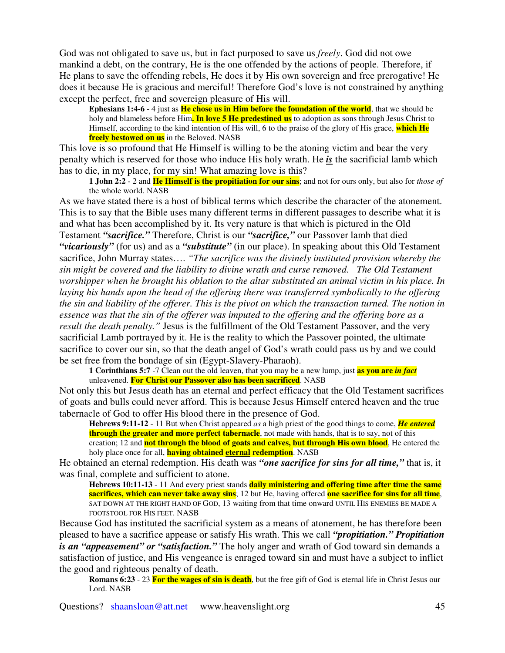God was not obligated to save us, but in fact purposed to save us *freely*. God did not owe mankind a debt, on the contrary, He is the one offended by the actions of people. Therefore, if He plans to save the offending rebels, He does it by His own sovereign and free prerogative! He does it because He is gracious and merciful! Therefore God's love is not constrained by anything except the perfect, free and sovereign pleasure of His will.

**Ephesians 1:4-6** - 4 just as **He chose us in Him before the foundation of the world**, that we should be holy and blameless before Him**. In love 5 He predestined us** to adoption as sons through Jesus Christ to Himself, according to the kind intention of His will, 6 to the praise of the glory of His grace, **which He freely bestowed on us** in the Beloved. NASB

This love is so profound that He Himself is willing to be the atoning victim and bear the very penalty which is reserved for those who induce His holy wrath. He *is* the sacrificial lamb which has to die, in my place, for my sin! What amazing love is this?

**1 John 2:2** - 2 and **He Himself is the propitiation for our sins**; and not for ours only, but also for *those of* the whole world. NASB

As we have stated there is a host of biblical terms which describe the character of the atonement. This is to say that the Bible uses many different terms in different passages to describe what it is and what has been accomplished by it. Its very nature is that which is pictured in the Old Testament *"sacrifice."* Therefore, Christ is our *"sacrifice,"* our Passover lamb that died *"vicariously"* (for us) and as a *"substitute"* (in our place). In speaking about this Old Testament sacrifice, John Murray states…. *"The sacrifice was the divinely instituted provision whereby the sin might be covered and the liability to divine wrath and curse removed. The Old Testament worshipper when he brought his oblation to the altar substituted an animal victim in his place. In laying his hands upon the head of the offering there was transferred symbolically to the offering* the sin and liability of the offerer. This is the pivot on which the transaction turned. The notion in essence was that the sin of the offerer was imputed to the offering and the offering bore as a *result the death penalty."* Jesus is the fulfillment of the Old Testament Passover, and the very sacrificial Lamb portrayed by it. He is the reality to which the Passover pointed, the ultimate sacrifice to cover our sin, so that the death angel of God's wrath could pass us by and we could be set free from the bondage of sin (Egypt-Slavery-Pharaoh).

**1 Corinthians 5:7** -7 Clean out the old leaven, that you may be a new lump, just **as you are** *in fact* unleavened. **For Christ our Passover also has been sacrificed**. NASB

Not only this but Jesus death has an eternal and perfect efficacy that the Old Testament sacrifices of goats and bulls could never afford. This is because Jesus Himself entered heaven and the true tabernacle of God to offer His blood there in the presence of God.

**Hebrews 9:11-12** - 11 But when Christ appeared *as* a high priest of the good things to come, *He entered* **through the greater and more perfect tabernacle**, not made with hands, that is to say, not of this creation; 12 and **not through the blood of goats and calves, but through His own blood**, He entered the holy place once for all, **having obtained eternal redemption**. NASB

He obtained an eternal redemption. His death was *"one sacrifice for sins for all time,"* that is, it was final, complete and sufficient to atone.

**Hebrews 10:11-13** - 11 And every priest stands **daily ministering and offering time after time the same sacrifices, which can never take away sins**; 12 but He, having offered **one sacrifice for sins for all time**, SAT DOWN AT THE RIGHT HAND OF GOD, 13 waiting from that time onward UNTIL HIS ENEMIES BE MADE A FOOTSTOOL FOR HIS FEET. NASB

Because God has instituted the sacrificial system as a means of atonement, he has therefore been pleased to have a sacrifice appease or satisfy His wrath. This we call *"propitiation." Propitiation is an "appeasement" or "satisfaction."* The holy anger and wrath of God toward sin demands a satisfaction of justice, and His vengeance is enraged toward sin and must have a subject to inflict the good and righteous penalty of death.

**Romans 6:23** - 23 **For the wages of sin is death**, but the free gift of God is eternal life in Christ Jesus our Lord. NASB